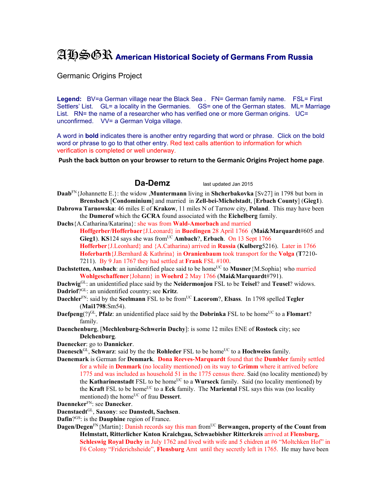## AHSGR **American Historical Society of Germans From Russia**

Germanic Origins Project

Legend: BV=a German village near the Black Sea . FN= German family name. FSL= First Settlers' List. GL= a locality in the Germanies. GS= one of the German states. ML= Marriage List. RN= the name of a researcher who has verified one or more German origins. UC= unconfirmed. VV= a German Volga village.

A word in **bold** indicates there is another entry regarding that word or phrase. Click on the bold word or phrase to go to that other entry. Red text calls attention to information for which verification is completed or well underway.

**Push the back button on your browser to return to the Germanic Origins Project home page**.

## **Da-Demz** last updated Jan 2015

- **Daab**FN{Johannette E.}: the widow ,**Muntermann** living in **Shcherbakovka** [Sv27] in 1798 but born in **Brensbach** [**Condominium**] and married in **Zell-bei-Michelstadt**, [**Erbach County**] (**Gieg1**).
- **Dabrowa Tarnowska**: 46 miles E of **Krakow**, 11 miles N of Tarnow city, **Poland**. This may have been the **Dumerof** which the **GCRA** found associated with the **Eichelberg** family.
- **Dachs**{A.Catharina/Katarina}: she was from **Wald-Amorbach** and married **Hoffgerber/Hofferbaer**{J.Leonard} in **Buedingen** 28 April 1766 (**Mai&Marquardt**#605 and **Gieg1**). **KS**124 says she was from<sup>UC</sup> **Ambach**?, **Erbach**. On 13 Sept 1766 **Hofferber**{J.Leonhard} and {A.Catharina) arrived in **Russia** (**Kulberg**5216). Later in 1766 **Hoferbarth**{J.Bernhard & Kathrina} in **Oranienbaum** took transport for the **Volga** (**T**7210- 7211). By 9 Jan 1767 they had settled at **Frank** FSL #100.
- **Dachstetten, Ansbach**: an iunidentified place said to be home<sup>UC</sup> to **Musner** {M.Sophia} who married **Wohlgeschaffener**{Johann} in **Woehrd** 2 May 1766 (**Mai&Marquardt**#791).

**Dachwig**GL: an unidentified place said by the **Neidermonjou** FSL to be **Teisel**? and **Teusel**? widows. **Dadriof**?GL: an unidentified country; see **Kritz**.

- **Daechler**<sup>FN</sup>: said by the **Seelmann** FSL to be from<sup>UC</sup> **Lacorom**?, **Elsass**. In 1798 spelled **Tegler** (**Mai1798**:Sm54).
- **Daefpeng** $(?)^{GL}$ , **Pfalz**: an unidentified place said by the **Dobrinka** FSL to be home<sup>UC</sup> to a **Flomart**? family.
- **Daenchenburg**, [**Mechlenburg-Schwerin Duchy**]: is some 12 miles ENE of **Rostock** city; see **Delchenburg**.
- **Daenecker**: go to **Dannicker**.

**Daenesch**<sup>GL</sup>, **Schwarz**: said by the the **Rohleder** FSL to be home<sup>UC</sup> to a **Hochweiss** family.

**Daenemark** is German for **Denmark**. **Dona Reeves-Marquardt** found that the **Dumbler** family settled for a while in **Denmark** (no locality mentioned) on its way to **Grimm** where it arrived before 1775 and was included as household 51 in the 1775 census there. Said (no locality mentioned) by the **Katharinenstadt** FSL to be home<sup>UC</sup> to a **Wurseck** family. Said (no locality mentioned) by the Kraft FSL to be home<sup>UC</sup> to a Eck family. The Mariental FSL says this was (no locality mentioned) the home<sup>UC</sup> of frau **Dessert**.

- **Daenneker**FN: see **Danecker**.
- **Daenstaedt**GL, **Saxony**: see **Danstedt, Sachsen**.
- **Dafin**?GS: is the **Dauphine** region of France.
- **Dagen/Degen**<sup>FN</sup>{Martin}: Danish records say this man from<sup>UC</sup> **Berwangen, property of the Count from Helmstatt, Ritterlicher Knton Kraichgau, Schwaebisher Ritterkreis** arrived at **Flensburg, Schleswig Royal Duchy** in July 1762 and lived with wife and 5 chidren at #6 "Moltchken Hof" in F6 Colony "Friderichsheide", **Flensburg** Amt until they secretly left in 1765. He may have been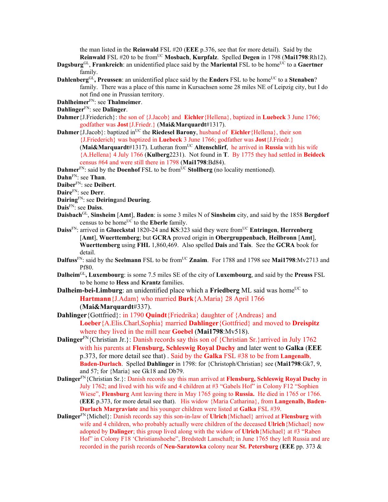the man listed in the **Reinwald** FSL #20 (**EEE** p.376, see that for more detail). Said by the **Reinwald** FSL #20 to be from<sup>UC</sup> Mosbach, **Kurpfalz**. Spelled **Degen** in 1798 (Mai1798:Rh12).

- **Dagsburg**<sup>GL</sup>, Frankreich: an unidentified place said by the **Mariental** FSL to be home<sup>UC</sup> to a Gaertner family.
- **Dahlenberg**<sup>GL</sup>, Preussen: an unidentified place said by the **Enders** FSL to be home<sup>UC</sup> to a **Stenaben**? family. There was a place of this name in Kursachsen some 28 miles NE of Leipzig city, but I do not find one in Prussian territory.
- **Dahlheimer**FN: see **Thalmeimer**.
- **Dahlinger**FN: see **Dalinger**.
- **Dahmer**{J.Friederich}: the son of {J.Jacob} and **Eichler**{Hellena}, baptized in **Luebeck** 3 June 1766; godfather was **Jost**{J.Friedr.} (**Mai&Marquardt**#1317).
- **Dahmer**{J.Jacob}: baptized in<sup>UC</sup> the **Riedesel Barony**, husband of **Eichler**{Hellena}, their son {J.Friederich} was baptized in **Luebeck** 3 June 1766; godfather was **Jost**{J.Friedr.}

 $(Mai\&Marguardt\#1317)$ . Lutheran from<sup>UC</sup> Altenschlirf, he arrived in **Russia** with his wife {A.Hellena} 4 July 1766 (**Kulberg**2231). Not found in **T**. By 1775 they had settled in **Beideck** census #64 and were still there in 1798 (**Mai1798**:Bd84).

**Dahmer**<sup>FN</sup>: said by the **Doenhof** FSL to be from<sup>UC</sup> **Stollberg** (no locality mentioned).

**Dahn**FN: see **Than**.

**Daiber**FN: see **Deibert**.

- **Daire**FN: see **Derr**.
- **Dairing**FN: see **Deiring**and **Deuring**.
- **Dais**FN: see **Daiss**.
- **Daisbach**GL, **Sinsheim** [**Amt**], **Baden**: is some 3 miles N of **Sinsheim** city, and said by the 1858 **Bergdorf** census to be home<sup>UC</sup> to the **Eberle** family.
- **Daiss**FN: arrived in **Glueckstal** 1820-24 and **KS**:323 said they were fromUC **Entringen**, **Herrenberg** [**Amt**], **Wuerttemberg**; but **GCRA** proved origin in **Obergruppenbach**, **Heilbronn** [**Amt**], **Wuerttemberg** using **FHL** 1,860,469.Also spelled **Dais** and **Tais**. See the **GCRA** book for detail.
- **Dalfuss**<sup>FN</sup>: said by the **Seelmann** FSL to be from<sup>UC</sup> **Znaim**. For 1788 and 1798 see **Mai1798**:Mv2713 and Pf80.
- **Dalheim**GL**, Luxembourg**: is some 7.5 miles SE of the city of **Luxembourg**, and said by the **Preuss** FSL to be home to **Hess** and **Krantz** families.
- **Dalheim-bei-Limburg**: an unidentified place which a **Friedberg** ML said was home<sup>UC</sup> to **Hartmann**{J.Adam} who married **Burk**{A.Maria} 28 April 1766 (**Mai&Marquardt**#337).
- **Dahlinger**{Gottfried}: in 1790 **Quindt**{Friedrika} daughter of {Andreas} and **Loeber**{A.Elis.Charl,Sophia} married **Dahlinger**{Gottfried} and moved to **Dreispitz**  where they lived in the mill near **Goebel** (**Mai1798**:Mv518).
- **Dalinger**<sup>FN</sup>{Christian Jr.}: Danish records say this son of {Christian Sr.}arrived in July 1762 with his parents at **Flensburg, Schleswig Royal Duchy** and later went to **Galka** (**EEE** p.373, for more detail see that) . Said by the **Galka** FSL #38 to be from **Langenalb**, **Baden-Durlach**. Spelled **Dahlinger** in 1798: for {Christoph/Christian} see (**Mai1798**:Gk7, 9, and 57; for {Maria} see Gk18 and Db79.
- **Dalinger**FN{Christian Sr.}: Danish records say this man arrived at **Flensburg, Schleswig Royal Duchy** in July 1762; and lived with his wife and 4 children at #3 "Gabels Hof" in Colony F12 "Sophien Wiese", **Flensburg** Amt leaving there in May 1765 going to **Russia.** He died in 1765 or 1766. (**EEE** p.373, for more detail see that). His widow {Maria Catharina}, from **Langenalb, Baden-Durlach Margraviate** and his younger children were listed at **Galka** FSL #39.
- **Dalinger**FN{Michel}: Danish records say this son-in-law of **Ulrich**{Michael} arrived at **Flensburg** with wife and 4 children, who probably actually were children of the deceased **Ulrich**{Michael} now adopted by **Dalinger**; this group lived along with the widow of **Ulrich**{Michael} at #3 "Raben Hof" in Colony F18 'Christianshoehe", Bredstedt Lanschaft; in June 1765 they left Russia and are recorded in the parish records of **Neu-Saratowka** colony near **St. Petersburg** (**EEE** pp. 373 &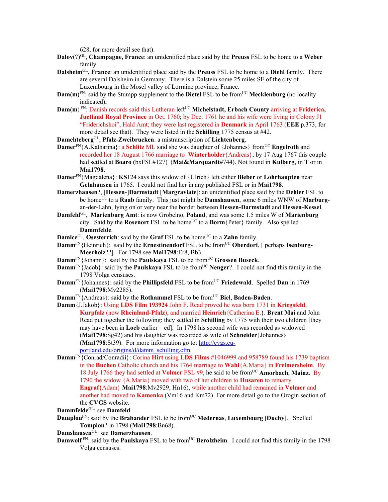628, for more detail see that).

- **Dalov**(?)GL, **Champagne, France**: an unidentified place said by the **Preuss** FSL to be home to a **Weber** family.
- **Dalsheim**GL, **France**: an unidentified place said by the **Preuss** FSL to be home to a **Diehl** family. There are several Dalsheim in Germany. There is a Dalstein some 25 miles SE of the city of Luxembourg in the Mosel valley of Lorraine province, France.
- **Dam(m)**<sup>FN</sup>: said by the Stumpp supplement to the **Dietel** FSL to be from<sup>UC</sup> **Mecklenburg** (no locality indicated)**.**
- Dam(m)<sup>FN</sup>: Danish records said this Lutheran left<sup>UC</sup> Michelstadt, Erbach County arriving at Friderica, **Juetland Royal Province** in Oct. 1760; by Dec. 1761 he and his wife were living in Colony J1 "Friderichshoi", Hald Amt; they were last registered in **Denmark** in April 1763 (**EEE** p.373, for more detail see that). They were listed in the **Schilling** 1775 census at #42.

**Damehteberg**GL, **Pfalz**-**Zweibrucken**: a mistranscription of **Lichtenberg**.

- **Damer**<sup>FN</sup>{A.Katharina}: a **Schlitz** ML said she was daughter of {Johannes} from<sup>UC</sup> **Engelroth** and recorded her 18 August 1766 marriage to **Winterholder**{Andreas}; by 17 Aug 1767 this couple had settled at **Boaro (**bxFSL#127) (**Mai&Marquardt**#744). Not found in **Kulberg**, in **T** or in **Mai1798**.
- **Damer**FN{Magdalena}: **KS**124 says this widow of {Ulrich} left either **Bieber** or **Lohrhaupten** near **Gelnhausen** in 1765. I could not find her in any published FSL or in **Mai1798**.
- **Damerzhausen**?, [**Hessen**-]**Darmstadt** [**Margraviate**]: an unidentified place said by the **Dehler** FSL to be homeUC to a **Raab** family. This just might be **Damshausen**, some 6 miles WNW of **Marburg**an-der-Lahn, lying on or very near the border between **Hessen-Darmstadt** and **Hessen-Kessel**.
- **Damfeld**GL, **Marienburg Amt**: is now Grobelno, **Poland**, and was some 1.5 miles W of **Marienburg** city. Said by the **Rosenort** FSL to be home<sup>UC</sup> to a **Borm** {Peter} family. Also spelled **Dammfelde**.
- **Damice**<sup>GL</sup>, **Osesterrich**: said by the **Graf** FSL to be home<sup>UC</sup> to a **Zahn** family.
- **Damm**<sup>FN</sup>{Heinrich}: said by the **Ernestinendorf** FSL to be from<sup>UC</sup> Oberdorf, [ perhaps **Isenburg-Meerholz**??]. For 1798 see **Mai1798**:Er8, Bb3.
- **Damm**<sup>FN</sup>{Johann}: said by the **Paulskaya** FSL to be from<sup>UC</sup> Grossen Buseck.
- **Damm<sup>FN</sup>**{Jacob}: said by the **Paulskaya** FSL to be from<sup>UC</sup> **Nenger**?. I could not find this family in the 1798 Volga censuses.
- **Damm**<sup>FN</sup>{Johannes}: said by the **Phillipsfeld** FSL to be from<sup>UC</sup> **Friedewald**. Spelled **Dan** in 1769 (**Mai1798**:Mv2285).
- **Damm<sup>FN</sup>{Andreas}: said by the <b>Rothammel** FSL to be from<sup>UC</sup> Biel, Baden-Baden.
- **Damm**{J.Jakob}: Using **LDS Film 193924** John F. Read proved he was born 1731 in **Kriegsfeld**, **Kurpfalz** (now **Rheinland-Pfalz**), and married **Heinrich**{Catherina E.}. **Brent Mai** and John Read put together the following: they settled in **Schilling** by 1775 with their two children [they may have been in **Loeb** earlier – ed]. In 1798 his second wife was recorded as widowed (**Mai1798**:Sg42) and his daughter was recorded as wife of **Schneider**{Johannes} (**Mai1798**:St39). For more information go to: http://cvgs.cuportland.edu/origins/d/damm\_schilling.cfm.
- **Damm**FN{Conrad/Conradii}: Corina **Hirt** using **LDS Films** #1046999 and 958789 found his 1739 baptism in the **Buchen** Catholic church and his 1764 marriage to **Wahl**{A.Maria} in **Freimersheim**. By 18 July 1766 they had settled at **Volmer** FSL #9, he said to be fromUC **Amorbach**, **Mainz**. By 1790 the widow {A.Maria} moved with two of her children to **Husaren** to remarry **Engraf**{Adam} **Mai1798**:Mv2929, Hn16), while another child had remained in **Volmer** and another had moved to **Kamenka** (Vm16 and Km72). For more detail go to the Orogin section of the **CVGS** website.
- **Dammfelde**GL: see **Damfeld**.
- **Damplon**<sup>FN</sup>: said by the **Brabander** FSL to be from<sup>UC</sup> Medernas, Luxembourg [Duchy]. Spelled **Tomplon**? in 1798 (**Mai1798**:Bn68).
- **Damshausen**GL: see **Damerzhausen**.
- **Damwolf**<sup>*FN*</sup>: said by the **Paulskaya** FSL to be from<sup>UC</sup> **Berolzheim**. I could not find this family in the 1798 Volga censuses.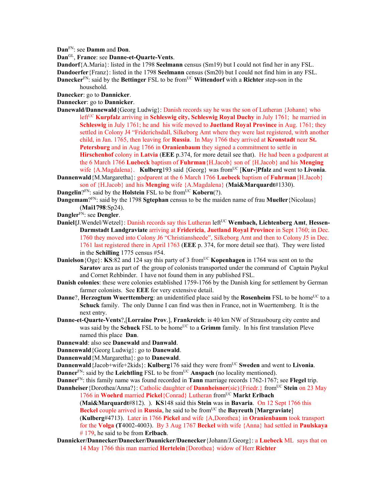**Dan**FN: see **Damm** and **Don**.

**Dan**GL, **France**: see **Danne-et-Quarte-Vents**.

**Dandorf**{A.Maria}: listed in the 1798 **Seelmann** census (Sm19) but I could not find her in any FSL.

**Dandoerfer**{Franz}: listed in the 1798 **Seelmann** census (Sm20) but I could not find him in any FSL.

**Danecker**<sup>FN</sup>: said by the **Bettinger** FSL to be from<sup>UC</sup> Wittendorf with a Richter step-son in the household.

**Danecker**: go to **Dannicker**.

**Dannecker**: go to **Dannicker**.

- **Danewald/Dannewald**{Georg Ludwig}: Danish records say he was the son of Lutheran {Johann} who left<sup>UC</sup> **Kurpfalz** arriving in **Schleswig city, Schleswig Royal Duchy** in July 1761; he married in **Schleswig** in July 1761; he and his wife moved to **Juetland Royal Province** in Aug. 1761; they settled in Colony J4 "Friderichsdall, Silkeborg Amt where they were last registered, witrh another child, in Jan. 1765, then leaving for **Russia**. In May 1766 they arrived at **Kronstadt** near **St. Petersburg** and in Aug 1766 in **Oranienbaum** they signed a commitment to settle in **Hirschenhof** colony in **Latvia** (**EEE** p.374, for more detail see that). He had been a godparent at the 6 March 1766 **Luebeck** baptism of **Fuhrman**{H.Jacob} son of {H.Jacob} and his **Menging**  wife  ${A.Magdalena}$ . **Kulberg**193 said  ${Georg}$  was from<sup>UC</sup> [**Kur-**]**Pfalz** and went to **Livonia**.
- **Dannenwald**{M.Margaretha}: godparent at the 6 March 1766 **Luebeck** baptism of **Fuhrman**{H.Jacob} son of {H.Jacob} and his **Menging** wife {A.Magdalena} (**Mai&Marquardt**#1330).

**Dangelin**? $F_N$ : said by the **Holstein** FSL to be from  $\overline{UC}$  **Kobern** $(?)$ .

**Dangemam**?FN: said by the 1798 **Sgtephan** census to be the maiden name of frau **Mueller**{Nicolaus} (**Mai1798**:Sp24).

- **Dangler**FN: see **Dengler**.
- Daniel{J.Wendel/Wetzel}: Danish records say this Lutheran left<sup>UC</sup> Wembach, Lichtenberg Amt, Hessen-**Darmstadt Landgraviate** arriving at **Fridericia**, **Juetland Royal Province** in Sept 1760; in Dec. 1760 they moved into Colony J6 "Christiansheede", Silkeborg Amt and then to Colony J5 in Dec. 1761 last registered there in April 1763 (**EEE** p. 374, for more detail see that). They were listed in the **Schilling** 1775 census #54.
- **Danielson**{Oge}: **KS**:82 and 124 say this party of 3 from<sup>UC</sup> **Kopenhagen** in 1764 was sent on to the **Saratov** area as part of the group of colonists transported under the command of Captain Paykul and Cornet Rehbinder. I have not found them in any published FSL.
- **Danish colonies**: these were colonies established 1759-1766 by the Danish king for settlement by German farmer colonists. See **EEE** for very extensive detail.
- **Danne**?, **Herzogtum Wuerttemberg**: an unidentified place said by the **Rosenheim** FSL to be home<sup>UC</sup> to a **Schuck** family. The only Danne I can find was then in France, not in Wuerttemberg. It is the next entry.
- **Danne-et-Quarte-Vents**?,[**Lorraine Prov**.], **Frankreich**: is 40 km NW of Strausbourg city centre and was said by the **Schuck** FSL to be home<sup>UC</sup> to a Grimm family. In his first translation Pleve named this place **Dan**.
- **Dannewald**: also see **Danewald** and **Danwald**.

**Dannenwald**{Georg Ludwig}: go to **Danewald**.

**Dannenwald**{M.Margaretha}: go to **Danewald**.

**Dannenwald** {Jacob+wife+2kids}: **Kulberg**176 said they were from<sup>UC</sup> Sweden and went to Livonia. **Danner**<sup>FN</sup>: said by the **Leichtling** FSL to be from<sup>UC</sup> **Anspach** (no locality mentioned).

**Danner**FN: this family name was found recorded in **Tann** marriage records 1762-1767; see **Flegel** trip.

**Dannheiser** {Dorothea/Anna?}: Catholic daughter of **Dannheisner**(sic) {Friedr.} from<sup>UC</sup> Stein on 23 May 1766 in Woehrd married Pickel{Conrad} Lutheran from<sup>UC</sup> Markt Erlbach

(**Mai&Marquardt**#812). ). **KS**148 said this **Stein** was in **Bavaria**. On 12 Sept 1766 this **Beckel couple arrived in Russia, he said to be from<sup>UC</sup> the Bayreuth [Margraviate]** (**Kulberg**#4713). Later in 1766 **Pickel** and wife {A,Dorothea} in **Oranienbaum** took transport

for the **Volga (T**4002-4003). By 3 Aug 1767 **Beckel** with wife {Anna} had settled in **Paulskaya** # 179, he said to be from **Erlbach**.

**Dannicker/Dannecker/Danecker/Daunicker/Daenecker**{Johann/J.Georg}: a **Luebeck** ML says that on 14 May 1766 this man married **Hertelein**{Dorothea} widow of Herr **Richter**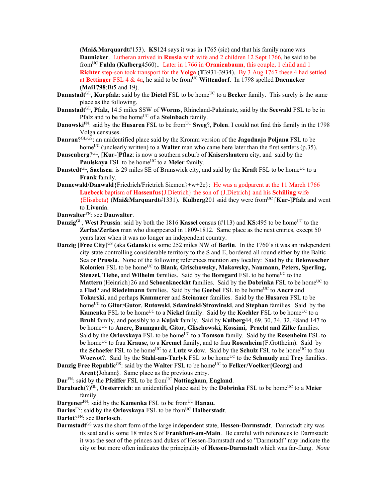(**Mai&Marquardt**#153). **KS**124 says it was in 1765 (sic) and that his family name was **Daunicker**. Lutheran arrived in **Russia** with wife and 2 children 12 Sept 1766, he said to be fromUC **Fulda** (**Kulberg**4560).. Later in 1766 in **Oranienbaum**, this couple, 1 child and 1 **Richter** step-son took transport for the **Volga** (**T**3931-3934). By 3 Aug 1767 these 4 had settled at **Bettinger** FSL 4 & 4a, he said to be fromUC **Wittendorf**. In 1798 spelled **Daenneker** (**Mai1798**:Bt5 and 19).

- **Dannstadt**<sup>GL</sup>, **Kurpfalz**: said by the **Dietel** FSL to be home<sup>UC</sup> to a **Becker** family. This surely is the same place as the following.
- **Dannstadt**GL**, Pfalz**, 14.5 miles SSW of **Worms**, Rhineland-Palatinate, said by the **Seewald** FSL to be in Pfalz and to be the home<sup>UC</sup> of a **Steinbach** family.
- **Danowski**FN: said by the **Husaren** FSL to be from<sup>UC</sup> **Sweg**?, **Polen**. I could not find this family in the 1798 Volga censuses.
- **Danran**?GL/GS: an unidentified place said by the Kromm version of the **Jagodnaja Poljana** FSL to be home<sup>UC</sup> (unclearly written) to a **Walter** man who came here later than the first settlers (p.35).
- **Dansenberg**?GL, [**Kur-**]**Pflaz**: is now a southern suburb of **Kaiserslautern** city, and said by the Paulskaya FSL to be home<sup>UC</sup> to a Meier family.
- **Danstedt**<sup>GL</sup>, Sachsen: is 29 miles SE of Brunswick city, and said by the **Kraft** FSL to be home<sup>UC</sup> to a **Frank** family.
- **Dannewald/Danwald** {Friedrich/Frietrich Siemon}+w+2c}: He was a godparent at the 11 March 1766 **Luebeck** baptism of **Hassenfus**{J.Dietrich} the son of {J.Dietrich} and his **Schilling** wife {Elisabeta} (**Mai&Marquardt**#1331). **Kulberg**201 said they were fromUC [**Kur-**]**Pfalz** and went to **Livonia**.
- **Danwalter**FN: see **Dauwalter**.
- **Danzig**<sup>GL</sup>, **West Prussia**: said by both the 1816 **Kassel** census (#113) and **KS**:495 to be home<sup>UC</sup> to the **Zerfas/Zerfass** man who disappeared in 1809-1812. Same place as the next entries, except 50 years later when it was no longer an independent country.
- **Danzig [Free City]<sup>GS</sup>** (aka **Gdansk**) is some 252 miles NW of **Berlin**. In the 1760's it was an independent city-state controlling considerable territory to the S and E, bordered all round either by the Baltic Sea or **Prussia**. None of the following references mention any locality: Said by the **Belowescher Kolonien** FSL to be home<sup>UC</sup> to **Blank, Grischowsky, Makowsky, Naumann, Peters, Sperling, Stenzel, Tiebe, and Wilhelm** families. Said by the **Boregard** FSL to be home<sup>UC</sup> to the **Mattern**{Heinrich}26 and **Schoenkneckht** families. Said by the **Dobrinka** FSL to be home<sup>UC</sup> to a **Flad**? and **Riedelmann** families. Said by the Goebel FSL to be home<sup>UC</sup> to Ancre and **Tokarski**, and perhaps **Kammerer** and **Steinauer** families. Said by the **Husaren** FSL to be homeUC to **Gitor**/**Gutor**, **Rutowski**, **Sdawinski**/**Strowinski**, and **Stephan** families. Said by the **Kamenka** FSL to be home<sup>UC</sup> to a **Nickel** family. Said by the **Koehler** FSL to be home<sup>UC</sup> to a **Bruhl** family, and possibly to a **Kujak** family. Said by **Kulberg**44, 69, 30, 34, 32, 48and 147 to be home<sup>UC</sup> to **Ancre, Baumgardt, Gitor, Glischowski, Kossimi, Pracht and Zilke** families. Said by the **Orlovskaya** FSL to be home<sup>UC</sup> to a **Tomson** family. Said by the **Rosenheim** FSL to be homeUC to frau **Krause**, to a **Kremel** family, and to frau **Rosenheim**{F.Gottheim). Said by the **Schaefer** FSL to be home<sup>UC</sup> to a **Lutz** widow. Said by the **Schulz** FSL to be home<sup>UC</sup> to frau **Woewot**?. Said by the **Stahl-am-Tarlyk** FSL to be home<sup>UC</sup> to the **Schmudy** and **Trey** families.
- **Danzig Free Republic<sup>GS</sup>: said by the Walter FSL to be home<sup>UC</sup> to <b>Felker/Voelker{Georg**} and **Arent**{Johann**}**. Same place as the previous entry.

 $\textbf{Dar}^{\text{FN}}$ : said by the **Pfeiffer** FSL to be from<sup>UC</sup> **Nottingham**, **England**.

- **Darabach**(?)<sup>GL</sup>, **Oesterreich**: an unidentified place said by the **Dobrinka** FSL to be home<sup>UC</sup> to a Meier family.
- **Dargener**<sup>FN</sup>: said by the **Kamenka** FSL to be from<sup>UC</sup> **Hanau.**
- **Darius**<sup>FN</sup>: said by the **Orlovskaya** FSL to be from<sup>UC</sup> **Halberstadt**.
- **Darlot**?FN: see **Dorlosch**.
- **Darmstadt**GS was the short form of the large independent state, **Hessen-Darmstadt**. Darmstadt city was its seat and is some 18 miles S of **Frankfurt-am-Main**.Be careful with references to Darmstadt: it was the seat of the princes and dukes of Hessen-Darmstadt and so "Darmstadt" may indicate the city or but more often indicates the principality of **Hessen-Darmstadt** which was far-flung. *None*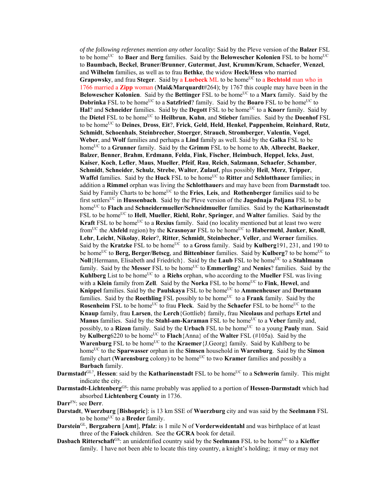*of the following referenes mention any other locality:* Said by the Pleve version of the **Balzer** FSL to be home<sup>UC</sup> to **Baer** and **Berg** families. Said by the **Belowescher Kolonien** FSL to be home<sup>UC</sup> to **Baumbach, Beckel**, **Bruner/Brunner**, **Gutermut**, **Just**, **Krumm/Krum**, **Schaefer**, **Wenzel**, and **Wilhelm** families, as well as to frau **Bethke**, the widow **Heck/Hess** who married **Grapowsky**, and frau Steger. Said by a Luebeck ML to be home<sup>UC</sup> to a Bechtold man who in 1766 married a **Zipp** woman (**Mai&Marquardt**#264); by 1767 this couple may have been in the **Belowescher Kolonien.** Said by the **Bettinger** FSL to be home<sup>UC</sup> to a **Marx** family. Said by the **Dobrinka** FSL to be home<sup>UC</sup> to a **Satzfried**? family. Said by the **Boaro** FSL to be home<sup>UC</sup> to Hal? and Schneider families. Said by the **Degott** FSL to be home<sup>UC</sup> to a **Knorr** family. Said by the **Dietel** FSL to be homeUC to **Heilbrun**, **Kuhn**, and **Stieber** families. Said by the **Doenhof** FSL to be homeUC to **Deines**, **Dross**, **Eit**?, **Frick**, **Geld**, **Held**, **Henkel**, **Pappenheim**, **Reinhard**, **Rutz**, **Schmidt**, **Schoenhals**, **Steinbrecher**, **Stoerger**, **Strauch**, **Stromberger**, **Valentin**, **Vogel**, **Weber**, and **Wolf** families and perhaps a **Lind** family as well. Said by the **Galka** FSL to be homeUC to a **Grunner** family. Said by the **Grimm** FSL to be home to **Ab**, **Albrecht**, **Baeker**, **Balzer**, **Benner**, **Brahm**, **Erdmann**, **Felda**, **Fink**, **Fischer**, **Heimbuch**, **Heppel**, **Icks**, **Just**, **Kaiser**, **Koch**, **Lefler**, **Maus**, **Mueller**, **Pfeif**, **Rau**, **Reich**, **Salzmann**, **Schaefer**, **Schamber**, **Schmidt**, **Schneider**, **Schulz**, **Strebe**, **Walter**, **Zulauf**, plus possibly **Heil**, **Merz**, **Tripper**, **Waffel** families. Said by the **Huck** FSL to be homeUC to **Ritter** and **Schlotthauer** families; in addition a **Rimmel** orphan was living the **Schlotthauer**s and may have been from **Darmstadt** too. Said by Family Charts to be homeUC to the **Fries**, **Leis**, and **Rothenberger** families said to be first settlersUC in **Hussenbach**. Said by the Pleve version of the **Jagodnaja Poljana** FSL to be homeUC to **Flach** and **Schneidermueller/Schneidmueller** families. Said by the **Katharinenstadt** FSL to be home<sup>UC</sup> to **Hell**, **Mueller**, **Riehl**, **Rohr**, **Springer**, and **Walter** families. Said by the **Kraft** FSL to be home<sup>UC</sup> to a **Rexius** family. Said (no locality mentioned but at least two were fromUC the **Alsfeld** region) by the **Krasnoyar** FSL to be homeUC to **Habermehl**, **Junker**, **Knoll**, **Lehr**, **Leicht**, **Nikolay**, **Reier**?, **Ritter**, **Schmidt**, **Steinbecher**, **Veller**, and **Werner** families. Said by the **Kratzke** FSL to be home<sup>UC</sup> to a Gross family. Said by **Kulberg**191, 231, and 190 to be home<sup>UC</sup> to **Berg, Berger/Betscg**, and **Bittenbiner** families. Said by **Kulberg**7 to be home<sup>UC</sup> to **Noll**{Hermann, Elisabeth and Friedrich}. Said by the **Laub** FSL to be home<sup>UC</sup> to a **Stahlmann** family. Said by the Messer FSL to be home<sup>UC</sup> to **Emmerling**? and **Nenies**? families. Said by the **Kuhlberg** List to be home<sup>UC</sup> to a **Riehs** orphan, who according to the **Mueller** FSL was living with a **Klein** family from **Zell**. Said by the **Norka** FSL to be home<sup>UC</sup> to **Fink**, **Hewel**, and **Knippel families. Said by the Paulskaya** FSL to be home<sup>UC</sup> to **Ammenheuser** and **Dortmann** families. Said by the **Roethling** FSL possibly to be home<sup>UC</sup> to a **Frank** family. Said by the **Rosenheim** FSL to be home<sup>UC</sup> to frau **Fleck**. Said by the **Schaefer** FSL to be home<sup>UC</sup> to the **Knaup** family, frau **Larsen**, the **Lerch**{Gottlieb} family, frau **Nicolaus** and perhaps **Ertel** and **Manus** families. Said by the **Stahl-am-Karaman** FSL to be home<sup>UC</sup> to a Veber family and, possibly, to a **Rizon** family. Said by the **Urbach** FSL to be home<sup>UC</sup> to a young **Pauly** man. Said by **Kulberg**6220 to be home<sup>UC</sup> to **Flach**{Anna} of the **Walter** FSL (#105a). Said by the **Warenburg** FSL to be home<sup>UC</sup> to the **Kraemer**{J.Georg} family. Said by Kuhlberg to be homeUC to the **Sparwasser** orphan in the **Simsen** household in **Warenburg**. Said by the **Simon** family chart (**Warensburg** colony) to be home<sup>UC</sup> to two **Kramer** families and possibly a **Burbach** family.

- **Darmstadt**<sup>GL?</sup>, **Hessen**: said by the **Katharinenstadt** FSL to be home<sup>UC</sup> to a **Schwerin** family. This might indicate the city.
- **Darmstadt-Lichtenberg**GS: this name probably was applied to a portion of **Hessen-Darmstadt** which had absorbed **Lichtenberg County** in 1736.
- **Darr**FN: see **Derr**.
- **Darstadt**, **Wuerzburg** [**Bishopric**]: is 13 km SSE of **Wuerzburg** city and was said by the **Seelmann** FSL to be home<sup>UC</sup> to a **Breder** family.
- **Darstein**GL, **Bergzabern** [**Amt**], **Pfalz**: is 1 mile N of **Vorderweidentahl** and was birthplace of at least three of the **Faiock** children. See the **GCRA** book for detail.
- **Dasbach Ritterschaft**<sup>GS</sup>: an unidentified country said by the **Seelmann** FSL to be home<sup>UC</sup> to a **Kieffer** family. I have not been able to locate this tiny country, a knight's holding; it may or may not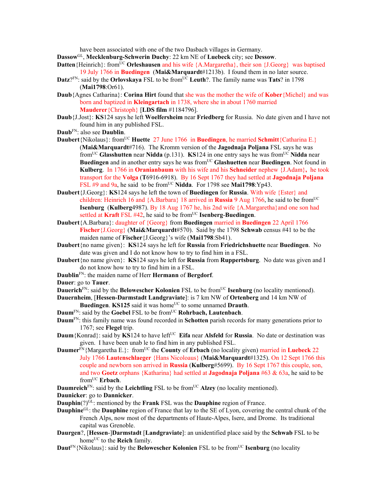have been associated with one of the two Dasbach villages in Germany.

- **Dassow**GL, **Mecklenburg-Schwerin Duchy**: 22 km NE of **Luebeck** city; see **Dessow**.
- **Datten**{Heinrich}: from<sup>UC</sup> **Orleshausen** and his wife {A.Margaretha}, their son {J.Georg} was baptised 19 July 1766 in **Buedingen** (**Mai&Marquardt**#1213b). I found them in no later source.
- **Datz**?<sup>FN</sup>: said by the **Orlovskaya** FSL to be from<sup>UC</sup> **Leuth**?. The family name was **Tats**? in 1798 (**Mai1798**:Or61).
- **Daub**{Agnes Catharina}: **Corina Hirt** found that she was the mother the wife of **Kober**{Michel} and was born and baptized in **Kleingartach** in 1738, where she in about 1760 married **Mauderer**{Christoph} [**LDS film** #1184796].
- **Daub**{J.Jost}: **KS**124 says he left **Woelfersheim** near **Friedberg** for Russia. No date given and I have not found him in any published FSL.
- **Daub**FN: also see **Daublin**.
- **Daubert**{Nikolaus}: from<sup>UC</sup> **Huette** 27 June 1766 in **Buedingen**, he married **Schmitt**{Catharina E.} (**Mai&Marquardt**#716). The Kromm version of the **Jagodnaja Poljana** FSL says he was fromUC **Glasshutten** near **Nidda** (p.131). **KS**124 in one entry says he was fromUC **Nidda** near **Buedingen** and in another entry says he was from<sup>UC</sup> Glashuetten near Buedingen. Not found in **Kulberg**. In 1766 in **Oranianbaum** with his wife and his **Schneider** nephew {J.Adam}**,** he took transport for the **Volga** (**T**6916-6918). By 16 Sept 1767 they had settled at **Jagodnaja Poljana**  FSL  $#9$  and  $9a$ , he said to be from<sup>UC</sup> Nidda. For 1798 see Mai1798:Yp43.
- **Daubert**{J.Georg}: **KS**124 says he left the town of **Buedingen** for **Russia**. With wife {Ester} and children: Heinrich 16 and {A.Barbara} 18 arrived in **Russia** 9 Aug 1766, he said to be from<sup>UC</sup> **Isenburg** (**Kulberg**4987). By 18 Aug 1767 he, his 2nd wife {A.Margaretha}and one son had settled at **Kraft** FSL #42, he said to be from<sup>UC</sup> **Isenberg-Buedingen**.
- **Daubert**{A.Barbara}: daughter of {Georg} from **Buedingen** married in **Buedingen** 22 April 1766 **Fischer**{J.Georg} (**Mai&Marquardt**#570). Said by the 1798 **Schwab** census #41 to be the maiden name of **Fischer**{J.Georg}'s wife (**Mai1798**:Sb41).
- **Daubert**{no name given}: **KS**124 says he left for **Russia** from **Friedrichshuette** near **Buedingen**. No date was given and I do not know how to try to find him in a FSL.
- **Daubert**{no name given}: **KS**124 says he left for **Russia** from **Ruppertsburg**. No date was given and I do not know how to try to find him in a FSL.
- **Daublin**FN: the maiden name of Herr **Hermann** of **Bergdorf**.
- **Dauer**: go to **Tauer**.
- **Dauerich**<sup>FN</sup>: said by the **Belowescher Kolonien** FSL to be from<sup>UC</sup> **Isenburg** (no locality mentioned).
- **Dauernheim**, [**Hessen-Darmstadt Landgraviate**]: is 7 km NW of **Ortenberg** and 14 km NW of
- **Buedingen. KS125** said it was home<sup>UC</sup> to some unnamed **Drauth**.
- **Daum<sup>FN</sup>: said by the Goebel FSL to be from<sup>UC</sup> Rohrbach, Lautenbach.**
- **Daum**FN: this family name was found recorded in **Schotten** parish records for many generations prior to 1767; see **Flegel** trip.
- **Daum**{Konrad}: said by **KS**124 to have left<sup>UC</sup> **Eifa** near **Alsfeld** for **Russia**. No date or destination was given. I have been unab le to find him in any published FSL.
- **Daumer**<sup>FN</sup>{Margaretha E.}: from<sup>UC</sup> the **County** of **Erbach** (no locality given) married in **Luebeck** 22 July 1766 **Lautenschlaeger** {Hans Nicoloaus} (**Mai&Marquardt**#1325). On 12 Sept 1766 this couple and newborn son arrived in **Russia** (**Kulberg**#5699). By 16 Sept 1767 this couple, son, and two **Goetz** orphans {Katharina} had settled at **Jagodnaja Poljana** #63 & 63a, he said to be fromUC **Erbach**.
- **Daumreich**<sup>FN</sup>: said by the **Leichtling** FSL to be from<sup>UC</sup> **Alzey** (no locality mentioned).
- **Daunicker**: go to **Dannicker**.
- **Dauphin**(?)<sup>GL</sup>: mentioned by the **Frank** FSL was the **Dauphine** region of France.
- **Dauphine**<sup>GL</sup>: the **Dauphine** region of France that lay to the SE of Lyon, covering the central chunk of the French Alps, now most of the departments of Haute-Alpes, Isere, and Drome. Its traditional capital was Grenoble.
- **Daurgen**?, [**Hessen**-]**Darmstadt** [**Landgraviate**]: an unidentified place said by the **Schwab** FSL to be home<sup>UC</sup> to the **Reich** family.
- **Daut<sup>FN</sup>**{Nikolaus}: said by the **Belowescher Kolonien** FSL to be from<sup>UC</sup> **Isenburg** (no locality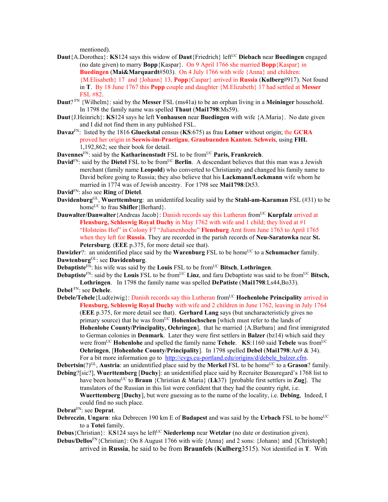mentioned).

- **Daut**{A.Dorothea}: **KS**124 says this widow of **Daut**{Friedrich} left<sup>UC</sup> **Diebach** near **Buedingen** engaged (no date given) to marry **Bopp**{Kaspar}. On 9 April 1766 she married **Bopp**{Kaspar} in **Buedingen** (**Mai&Marquardt**#503). On 4 July 1766 with wife {Anna} and children: {M.Elisabeth} 17 and {Johann} 13, **Popp**{Caspar} arrived in **Russia** (**Kulberg**#917). Not found in **T**. By 18 June 1767 this **Popp** couple and daughter {M.Elizabeth} 17 had settled at **Messer** FSL #82.
- **Daut**? FN {Wilhelm}: said by the **Messer** FSL (ms41a) to be an orphan living in a **Meininger** household. In 1798 the family name was spelled **Thaut** (**Mai1798**:Ms59).
- **Daut**{J.Heinrich}: **KS**124 says he left **Vonhausen** near **Buedingen** with wife {A.Maria}. No date given and I did not find them in any published FSL.
- **Davaz**FN: listed by the 1816 **Glueckstal** census (**KS**:675) as frau **Lotner** without origin; the **GCRA** proved her origin in **Seewis-im-Praetigau**, **Graubuenden Kanton**, **Schweis**, using **FHL** 1,192,862; see their book for detail.

**Davennes**<sup>FN</sup>: said by the **Katharinenstadt** FSL to be from<sup>UC</sup> Paris, Frankreich.

**David**<sup>FN</sup>: said by the **Dietel** FSL to be from<sup>UC</sup> **Berlin**. A descendant believes that this man was a Jewish merchant (family name **Leopold**) who converted to Christianity and changed his family name to David before going to Russia; they also believe that his **Lackmann/Lockmann** wife whom he married in 1774 was of Jewish ancestry. For 1798 see **Mai1798**:Dt53.

**David**FN: also see **Ring** of **Dietel**.

- **Davidenburg**GL, **Wuerttemburg**: an unidentifed locality said by the **Stahl-am-Karaman** FSL (#31) to be home<sup>UC</sup> to frau **Shifler** {Berhard}.
- **Dauwalter/Danwalter** {Andreas Jacob}: Danish records say this Lutheran from<sup>UC</sup> **Kurpfalz** arrived at **Flensburg, Schleswig Royal Duchy** in May 1762 with wife and 1 child; they lived at #1 "Holsteins Hof" in Colony F7 "Julianenhoehe" **Flensburg** Amt from June 1763 to April 1765 when they left for **Russia**. They are recorded in the parish records of **Neu-Saratowka** near **St. Petersburg**. (**EEE** p.375, for more detail see that).

**Dawizler**?: an unidentified place said by the **Warenburg** FSL to be home<sup>UC</sup> to a **Schumacher** family. **Dawtenburg**GL: see **Davidenburg**.

**Debaptiste** $\overline{FN}$ : his wife was said by the **Louis** FSL to be from<sup>UC</sup> **Bitsch**, **Lothringen**.

- **Debaptiste**<sup>FN</sup>: said by the **Louis** FSL to be from<sup>UC</sup> **Linz**, and faru Debaptiste was said to be from<sup>UC</sup> Bitsch, **Lothringen**. In 1798 the family name was spelled **DePatiste** (**Mai1798**:Ls44,Bo33). **Debel** FN: see **Dehele**.
- **Debele/Tehele**{Lud(e)wig}: Danish records say this Lutheran from<sup>UC</sup> **Hoehenlohe Principality** arrived in **Flensburg, Schleswig Royal Duchy** with wife and 2 children in June 1762, leaving in July 1764 (**EEE** p.375, for more detail see that). **Gerhard Lang** says (but uncharacteristicly gives no primary source) that he was from<sup>UC</sup> **Hohenlochschen** [which must refer to the lands of **Hohenlohe County/Principality, Oehringen**], that he married {A.Barbara} and first immigrated to German colonies in **Denmark**. Later they were first settlers in **Balzer** (bz14) which said they were from<sup>UC</sup> **Hohenlohe** and spelled the family name **Tehele. KS**:1160 said **Tebele** was from<sup>UC</sup> **Oehringen**, [**Hohenlohe County/Principality**]. In 1798 spelled **Debel** (**Mai1798**:An9 & 34). For a bit more information go to http://cvgs.cu-portland.edu/origins/d/debele balzer.cfm.
- **Debertsin**(?)<sup>GL</sup>, **Austria**: an unidentified place said by the **Merkel** FSL to be home<sup>UC</sup> to a **Grason**? family.
- **Debing**?[sic?], **Wuerttemberg** [**Duchy**]: an unidentified place said by Recruiter Beauregard's 1768 list to have been home<sup>UC</sup> to **Braun** {Christian & Maria} (Lk37) [probable first settlers in **Zug**]. The translators of the Russian in this list were confident that they had the country right, i.e. **Wuerttemberg** [**Duchy**], but were guessing as to the name of the locality, i.e. **Debing**, Indeed, I could find no such place.

**Debrat**FN: see **Deprat**.

- **Debreczin, Ungarn**: nka Debrecen 190 km E of **Budapest** and was said by the Urbach FSL to be home<sup>UC</sup> to a **Totei** family.
- **Debus** {Christian}: KS124 says he left<sup>UC</sup> **Niederlemp** near **Wetzlar** (no date or destination given).
- **Debus/Dellos**<sup>FN</sup>{Christian}: On 8 August 1766 with wife {Anna} and 2 sons: {Johann} and {Christoph} arrived in **Russia**, he said to be from **Braunfels** (**Kulberg**3515). Not identified in **T**. With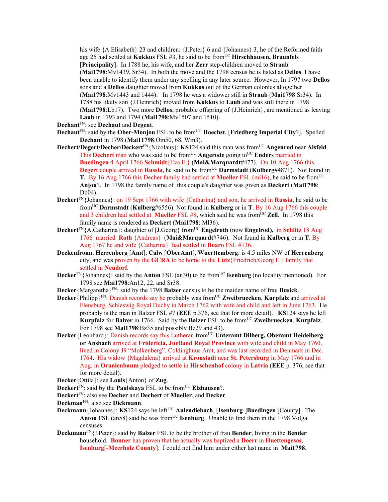his wife {A.Elisabeth} 23 and children: {J.Peter} 6 and {Johannes} 3, he of the Reformed faith age 25 had settled at Kukkus FSL #3, he said to be from<sup>UC</sup> Hirschhausen, Braunfels [**Principality**]. In 1788 he, his wife, and her **Zerr** step-children moved to **Straub** (**Mai1798**:Mv1439, Sr34). In both the move and the 1798 census he is listed as **Dellos**. I have been unable to identify them under any spelling in any later source. However, In 1797 two **Dellos** sons and a **Dellos** daughter moved from **Kukkus** out of the German colonies altogether (**Mai1798**:Mv1443 and 1444). In 1798 he was a widower still in **Straub** (**Mai1798**:Sr34). In 1788 his likely son {J.Heinrich} moved from **Kukkus** to **Laub** and was still there in 1798 (**Mai1798**:Lb17). Two more **Dellos**, probable offspring of {J.Heinrich}, are mentioned as leaving **Laub** in 1793 and 1794 (**Mai1798**:Mv1507 and 1510).

**Dechant**FN: see **Dechaut** and **Degent**.

- **Dechaut**<sup>FN</sup>: said by the **Ober-Monjou** FSL to be from<sup>UC</sup> **Hoechst**, [**Friedberg Imperial City**?]. Spelled **Dechant** in 1798 (**Mai11798**:Om50, 68, Wm3).
- **Dechert/Degert/Decher/Deckert**FN{Nicolaus}: **KS**124 said this man was fromUC **Angenrod** near **Alsfeld**. This **Dechert** man who was said to be from<sup>UC</sup> Angerode going to<sup>UC</sup> Enders married in **Buedingen** 4 April 1766 **Schmidt**{Eva E.} (**Mai&Marquardt**#477). On 10 Aug 1766 this **Degert couple arrived in Russia**, he said to be from<sup>UC</sup> **Darmstadt** (**Kulberg**#4871). Not found in **T.** By 16 Aug 1766 this Decher family had settled at **Mueller** FSL (ml16), he said to be from<sup>UC</sup> **Anjou**?. In 1798 the family name of this couple's daughter was given as **Deckert** (**Mai1798**: Db04).
- **Dechert**FN{Johannes}: on 19 Sept 1766 with wife {Catharina} and son, he arrived in **Russia**, he said to be fromUC **Darmstadt** (**Kulberg**#6556). Not found in **Kulberg** or in **T**. By 16 Aug 1766 this couple and 3 children had settled at **Mueller** FSL #8, which said he was from<sup>UC</sup> **Zell**. In 1798 this family name is rendered as **Deckert** (**Mai1798**: Ml36).
- **Dechert**<sup>FN</sup>{A.Catharina}: daughter of [J.Georg} from<sup>UC</sup> **Engelroth** (now **Engelrod),** in **Schlitz** 18 Aug 1766 married **Roth** {Andreas} (**Mai&Marquardt**#746). Not found in **Kulberg** or in **T**. By Aug 1767 he and wife {Catharina} had settled in **Boaro** FSL #136.
- **Deckenfronn**, **Herrenberg** [**Amt**], **Calw** [**OberAmt**], **Wuerttemberg**: is 4.5 miles NW of **Herrenberg** city, and was proven by the **GCRA** to be home to the **Lutz**{Friedrich/Georg F.} family that settled in **Neudorf**.
- **Decker**<sup>FN</sup>{Johannes}: said by the **Anton** FSL (an30) to be from<sup>UC</sup> **Isenburg** (no locality mentioned). For 1798 see **Mai1798**:An12, 22, and Sr38.
- **Decker**{Margaretha}FN: said by the 1798 **Balzer** census to be the maiden name of frau **Busick**.
- **Decker**{Philipp}<sup>FN</sup>: Danish records say he probably was from<sup>UC</sup> **Zweibruecken**, **Kurpfalz** and arrived at Flensburg, Schleswig Royal Duchy in March 1762 with wife and child and left in June 1763. He probably is the man in Balzer FSL #7 (**EEE** p.376, see that for more detail). **KS**124 says he left **Kurpfalz** for **Balzer** in 1766. Said by the **Balzer** FSL to be from<sup>UC</sup> **Zweibruecken**, **Kurpfalz**. For 1798 see **Mai1798**:Bz35 and possibly Bz29 and 43).
- **Decker**{Leonhard}: Danish records say this Lutheran from<sup>UC</sup> Unteramt Dilberg, Oberamt Heidelberg **or Ansbach** arrived at **Fridericia, Juetland Royal Province** with wife and child in May 1760, lived in Colony J9 "Molkenberg", Coldinghuus Amt, and was last recorded in Denmark in Dec. 1764. His widow {Magdalena} arrived at **Kronstadt** near **St. Petersburg** in May 1766 and in Aug. in **Oranienbaum** pledged to settle in **Hirschenhof** colony in **Latvia** (**EEE** p. 376, see that for more detail).

**Decker**{Ottila}: see **Louis**{Anton} of **Zug**.

- **Deckert**<sup>FN</sup>: said by the **Paulskaya** FSL to be from<sup>UC</sup> **Elzhausen**?.
- **Deckert**FN: also see **Decher** and **Dechert** of **Mueller**, and **Decker**.
- **Deckman**FN: also see **Dickmann**.
- **Deckmann** {Johannes}: **KS**124 says he left <sup>UC</sup> **Aulendiebach**, [Isenburg-]Buedingen [County]. The **Anton** FSL (an58) said he was from<sup>UC</sup> **Isenburg**. Unable to find them in the 1798 Volga censuses.
- **Deckmann**FN{J.Peter}: said by **Balzer** FSL to be the brother of frau **Bender**, living in the **Bender** household. **Bonner** has proven that he actually was baptized a **Doerr** in **Huettengesas**, **Isenburg**[**-Meerholz County**]. I could not find him under either last name in **Mai1798**.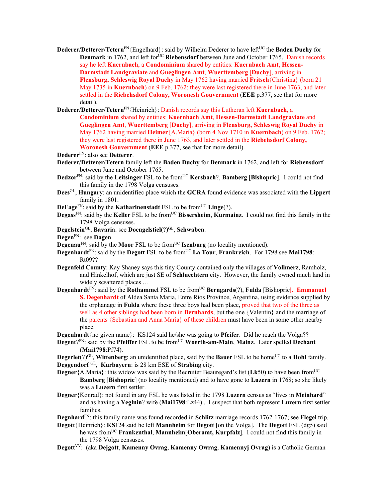- **Dederer/Detterer/Tetern**<sup>FN</sup>{Engelhard}: said by Wilhelm Dederer to have left<sup>UC</sup> the **Baden Duchy** for **Denmark** in 1762, and left for<sup>UC</sup> Riebensdorf between June and October 1765. Danish records say he left **Kuernbach**, a **Condominium** shared by entities: **Kuernbach Amt**, **Hessen-Darmstadt Landgraviate** and **Gueglingen Amt**, **Wuerttemberg** [**Duchy**], arriving in **Flensburg, Schleswig Royal Duchy** in May 1762 having married **Fritsch**{Christina} (born 21 May 1735 in **Kuernbach**) on 9 Feb. 1762; they were last registered there in June 1763, and later settled in the **Riebehsdorf Colony, Woronesh Gouvernment** (**EEE** p.377, see that for more detail).
- **Dederer/Detterer/Tetern**FN{Heinrich}: Danish records say this Lutheran left **Kuernbach**, a **Condominium** shared by entities: **Kuernbach Amt**, **Hessen-Darmstadt Landgraviate** and **Gueglingen Amt**, **Wuerttemberg** [**Duchy**], arriving in **Flensburg, Schleswig Royal Duchy** in May 1762 having married **Heimer**{A.Maria} (born 4 Nov 1710 in **Kuernbach**) on 9 Feb. 1762; they were last registered there in June 1763, and later settled in the **Riebehsdorf Colony, Woronesh Gouvernment** (**EEE** p.377, see that for more detail).
- **Dederer**FN: also see **Detterer**.
- **Dederer/Detterer/Tetern** family left the **Baden Duchy** for **Denmark** in 1762, and left for **Riebensdorf** between June and October 1765.
- **Dedzor**FN: said by the Leitsinger FSL to be from<sup>UC</sup> Kersbach?, Bamberg [Bishopric]. I could not find this family in the 1798 Volga censuses.
- **Dees**GL, **Hungary**: an unidentifiec place which the **GCRA** found evidence was associated with the **Lippert** family in 1801.
- **DeFage**<sup>FN</sup>: said by the **Katharinenstadt** FSL to be from<sup>UC</sup> **Linge**(?).
- **Degass**<sup>FN</sup>: said by the **Keller** FSL to be from<sup>UC</sup> **Bissersheim**, **Kurmainz**. I could not find this family in the 1798 Volga censuses.
- **Degelstein**<sup>GL</sup>, **Bavaria**: see **Doengelstiel**(?)<sup>GL</sup>, **Schwaben**.
- **Degen**FN: see **Dagen**.
- **Degenau<sup>FN</sup>:** said by the **Moor** FSL to be from<sup>UC</sup> **Isenburg** (no locality mentioned).
- **Degenhardt**<sup>FN</sup>: said by the **Degott** FSL to be from<sup>UC</sup> La Tour, **Frankreich**. For 1798 see **Mai1798**: Rt09??
- **Degenfeld County**: Kay Shaney says this tiny County contained only the villages of **Vollmerz**, Ramholz, and Hinkelhof, which are just SE of **Schluechtern** city. However, the family owned much land in widely scsattered places …
- **Degenhardt**<sup>FN</sup>: said by the **Rothammel** FSL to be from<sup>UC</sup> **Berngards**(?), **Fulda** [Bishopric]. **Emmanuel S. Degenhardt** of Aldea Santa Maria, Entre Rios Province, Argentina, using evidence supplied by the orphanage in **Fulda** where these three boys had been place, proved that two of the three as well as 4 other siblings had been born in **Bernhards**, but the one {Valentin} and the marriage of the parents {Sebastian and Anna Maria} of these children must have been in some other nearby place.
- **Degenhardt**{no given name}: KS124 said he/she was going to **Pfeifer**. Did he reach the Volga?? **Degent**?<sup>FN</sup>: said by the **Pfeiffer** FSL to be from<sup>UC</sup> Woerth-am-Main, Mainz. Later spelled **Dechant**
- (**Mai1798**:Pf74).
- **Degerlet**(?)<sup>GL</sup>, **Wittenberg**: an unidentified place, said by the **Bauer** FSL to be home<sup>UC</sup> to a **Hohl** family. **Deggendorf** GL, **Kurbayern**: is 28 km ESE of **Strabing** city.
- **Degner**{A.Maria}: this widow was said by the Recruiter Beauregard's list (Lk50) to have been from<sup>UC</sup> **Bamberg** [**Bishopric**] (no locality mentioned) and to have gone to **Luzern** in 1768; so she likely was a **Luzern** first settler.
- **Degner**{Konrad}: not found in any FSL he was listed in the 1798 **Luzern** census as "lives in **Meinhard**" and as having a **Yeglnin**? wife (**Mai1798**:Lz44).. I suspect that both represent **Luzern** first settler families.
- **Degnhard**FN: this family name was found recorded in **Schlitz** marriage records 1762-1767; see **Flegel** trip.
- **Degott**{Heinrich}: **KS**124 said he left **Mannheim** for **Degott** [on the Volga]. The **Degott** FSL (dg5) said he was fromUC **Frankenthal**, **Mannheim**[**Oberamt, Kurpfalz**]. I could not find this family in the 1798 Volga censuses.
- **Degott**VV: (aka **Dejgott**, **Kamenny Ovrag**, **Kamenny Owrag**, **Kamennyj Ovrag**) is a Catholic German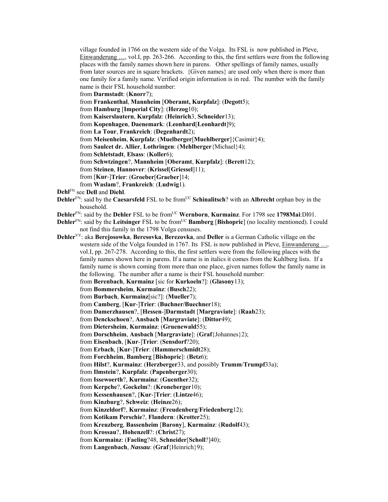village founded in 1766 on the western side of the Volga. Its FSL is now published in Pleve, Einwanderung …, vol.I, pp. 263-266. According to this, the first settlers were from the following places with the family names shown here in parens. Other spellings of family names, usually from later sources are in square brackets. {Given names} are used only when there is more than one family for a family name. Verified origin information is in red. The number with the family name is their FSL household number:

from **Darmstadt**: (**Knorr**7);

from **Frankenthal**, **Mannheim** [**Oberamt, Kurpfalz**]: (**Degott**5);

from **Hamburg** [**Imperial City**]: (**Herzog**10);

from **Kaiserslautern**, **Kurpfalz**: (**Heinrich**3, **Schneider**13);

from **Kopenhagen**, **Daenemark**: (**Leonhard**[**Leonhardt**]9);

from **La Tour**, **Frankreich**: (**Degenhardt**2);

from **Meisenheim**, **Kurpfalz**: (**Muelberger**[**Muehlberger**]{Casimir}4);

from **Saulcet dr. Allier**, **Lothringen**: (**Mehlberger**{Michael}4);

from **Schletstadt**, **Elsass**: (**Koller**6);

from **Schwtzingen**?, **Mannheim** [**Oberamt**, **Kurpfalz**]: (**Berett**12);

from **Steinen**, **Hannover**: (**Krissel**[**Griessel**]11);

from [**Kur**-]**Trier**: (**Groeber**[**Graeber**]14;

from **Waslam**?, **Frankreich**: (**Ludwig**1).

**Dehl**FN see **Dell** and **Diehl**.

- **Dehler**<sup>FN</sup>: said by the **Caesarsfeld** FSL to be from<sup>UC</sup> **Schinalitsch**? with an **Albrecht** orphan boy in the household.
- **Dehler**<sup>FN</sup>: said by the **Dehler** FSL to be from<sup>UC</sup> **Wernborn**, **Kurmainz**. For 1798 see 1798Mai:Dl01.
- **Dehler**<sup>FN</sup>: said by the Leitsinger FSL to be from<sup>UC</sup> **Bamberg** [Bishopric] (no locality mentioned). I could not find this family in the 1798 Volga censuses.
- **Dehler**VV: aka **Berejosowka**, **Beresovka**, **Berezovka**, and **Deller** is a German Catholic village on the western side of the Volga founded in 1767. Its FSL is now published in Pleve, Einwanderung ..., vol.I, pp. 267-278. According to this, the first settlers were from the following places with the family names shown here in parens. If a name is in italics it comes from the Kuhlberg lists. If a family name is shown coming from more than one place, given names follow the family name in the following. The number after a name is their FSL household number:
	- from **Berenbach**, **Kurmainz** [sic for **Kurkoeln**?]: (**Glasony**13);
	- from **Bommersheim**, **Kurmainz**: (**Busch**22);
	- from **Burbach**, **Kurmainz**[sic?]: (**Mueller**7);
	- from **Camberg**, [**Kur**-]**Trier**: (**Buchner/Buechner**18);

from **Damerzhausen**?, [**Hessen**-]**Darmstadt** [**Margraviate**]: (**Raab**23);

from **Denckschoen**?, **Ansbach** [**Margraviate**]: (**Dittor**49);

from **Dietersheim**, **Kurmainz**: (**Gruenewald**55);

from **Dorschheim**, **Ansbach** [**Margraviate**]: (**Graf**{Johannes}2);

from **Eisenbach**, [**Kur**-]**Trier**: (**Sensdorf**?20);

from **Erbach**, [**Kur**-]**Trier**: (**Hammerschmidt**28);

from **Forchheim**, **Bamberg** [**Bishopric**]: (**Betz**6);

from **Hilst**?, **Kurmainz**: (**Herzberger**33, and possibly **Trumm**/**Trumpf**33a);

from **Ilmstein**?, **Kurpfalz**: (**Papenberger**30);

from **Issewoerth**?, **Kurmainz**: (**Guenther**32);

from **Kerpche**?, **Gockelm**?: (**Kroneberger**10);

from **Kessenhausen**?, [**Kur**-]**Trier**: (**Lintze**46);

from **Kinzburg**?, **Schweiz**: (**Heinze**26);

from **Kinzeldorf**?, **Kurmainz**: (**Freudenberg**/**Friedenberg**12);

from **Kotikam Perschie**?, **Flandern**: (**Krotter**25);

from **Kreuzberg**, **Bassenheim** [**Barony**], **Kurmainz**: (**Rudolf**43);

from **Krossau**?, **Hohenzell**?: (**Christ**27);

from **Kurmainz**: (**Faeling**?48, **Schneider**[**Scholl**?]40);

from **Langenbach**, *Nassau*: (**Graf**{Heinrich}9);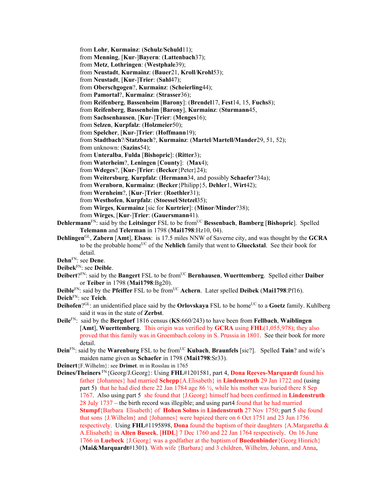from **Lohr**, **Kurmainz**: (**Schulz**/**Schuld**11); from **Menning**, [**Kur**-]**Bayern**: (**Lattenbach**37); from **Metz**, **Lothringen**: (**Westphale**39); from **Neustadt**, **Kurmainz**: (**Bauer**21, **Kroll**/**Krohl**53); from **Neustadt**, [**Kur**-]**Trier**: (**Sahl**47); from **Oberschgogen**?, **Kurmainz**: (**Scheierling**44); from **Pamortal**?, **Kurmainz**: (**Strasser**36); from **Reifenberg**, **Bassenheim** [**Barony**]: (**Brendel**17, **Fest**14, 15, **Fuchs**8); from **Reifenberg**, **Bassenheim** [**Barony**], **Kurmainz**: (**Sturmann**45, from **Sachsenhausen**, [**Kur**-]**Trier**: (**Menges**16); from **Selzen**, **Kurpfalz**: (**Holzmeier**50); from **Spelcher**, [**Kur**-]**Trier**: (**Hoffmann**19); from **Stadtbach**?/**Statzbach**?, **Kurmainz**: (**Martel**/**Martell/Mander**29, 51, 52); from unknown: (**Sazins**54); from **Unteralba**, **Fulda** [**Bishopric**]: (**Ritter**3); from **Waterheim**?, **Leningen** [**County**]: (**Max**4); from **Wdeges**?, [**Kur**-]**Trier**: (**Becker**{Peter}24); from **Weitersburg**, **Kurpfalz**: (**Hermann**34, and possibly **Schaefer**?34a); from **Wernborn**, **Kurmainz**: (**Becker**{Philipp}5, **Dehler**1, **Wirt**42); from **Wernheim**?, [**Kur**-]**Trier**: (**Roethler**31); from **Westhofen**, **Kurpfalz**: (**Stoessel**/**Stetzel**35); from **Wirges**, **Kurmainz** [sic for **Kurtrier**]: (**Minor**/**Minder**?38); from **Wirges**, [**Kur**-]**Trier**: (**Gauersmann**41). **Dehlermann**<sup>FN</sup>: said by the Leitsinger FSL to be from<sup>UC</sup> Bessenbach, Bamberg [Bishopric]. Spelled **Telemann** and **Telerman** in 1798 (**Mai1798**:Hz10, 04).

- **Dehlingen**GL, **Zabern** [**Amt**], **Elsass**: is 17.5 miles NNW of Saverne city, and was thought by the **GCRA** to be the probable homeUC of the **Nehlich** family that went to **Glueckstal**. See their book for detail.
- **Dehn**FN: see **Dene**.
- **Deibek**FN: see **Deible**.
- **Deibert**?FN: said by the **Bangert** FSL to be fromUC **Bernhausen**, **Wuerttemberg**. Spelled either **Daiber** or **Teiber** in 1798 (**Mai1798**:Bg20).
- **Deible**FN: said by the **Pfeiffer** FSL to be from<sup>UC</sup> Achern. Later spelled **Deibek (Mai1798**:Pf16).
- **Deich**FN: see **Teich**.
- **Deihofen**?GL: an unidentified place said by the **Orlovskaya** FSL to be home<sup>UC</sup> to a **Goetz** family. Kuhlberg said it was in the state of **Zerbst**.
- **Deile**FN: said by the **Bergdorf** 1816 census (**KS**:660/243) to have been from **Fellbach**, **Waiblingen**  [**Amt**], **Wuerttemberg**. This origin was verified by **GCRA** using **FHL**(1,055,978); they also proved that this family was in Groembach colony in S. Prussia in 1801. See their book for more detail.
- **Dein**<sup>FN</sup>: said by the **Warenburg** FSL to be from<sup>UC</sup> **Kubach**, **Braunfels** [sic?]. Spelled **Tain**? and wife's maiden name given as **Schaefer** in 1798 (**Mai1798**:Sr33).
- **Deinert**{F.Wilhelm}: see **Drimet**. m in Rosslau in 1765
- **Deines/Theiners** FN{Georg/J.Georg}: Using **FHL**#1201581, part 4, **Dona Reeves-Marquardt** found his father {Johannes} had married **Schepp**{A.Elisabeth} in **Lindenstruth** 29 Jan 1722 and (using part 5) that he had died there 22 Jan 1784 age 86  $\frac{1}{2}$ , while his mother was buried there 8 Sep 1767. Also using part 5 she found that {J.Georg} himself had been confirmed in **Lindenstruth**  28 July 1737 – the birth record was illegible; and using part4 found that he had married **Stumpf**{Barbara Elisabeth} of **Hohen Solms** in **Lindenstruth** 27 Nov 1750; part 5 she found that sons {J.Wilhelm} and {Johannes} were bapized there on 6 Oct 1751 and 23 Jun 1756 respectively. Using **FHL**#1195898, **Dona** found the baptism of their daughters {A.Margaretha & A.Elisabeth} in **Alten Buseck**, [**HDL**] 7 Dec 1760 and 22 Jan 1764 respectively. On 16 June 1766 in **Luebeck** {J.Georg} was a godfather at the baptism of **Buedenbinder**{Georg Hinrich} (**Mai&Marquardt**#1301). With wife {Barbara} and 3 children, Wilhelm, Johann, and Anna,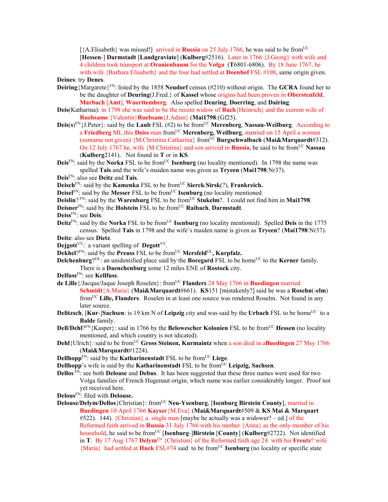[{A.Elisabeth} was missed!] arrived in **Russia** on 25 July 1766, he was said to be from<sup>UC</sup> [**Hessen**-] **Darmstadt** [**Landgraviate**] (**Kulberg**#2516). Later in 1766 {J.Georg} with wife and 4 children took transport at **Oranienbaum** for the **Volga** (**T**6801-6806). By 18 June 1767, he with wife {Barbara Elisabeth} and the four had settled at **Doenhof** FSL #108, same origin given.

**Deines**: try **Denes**.

- **Deiring**{Margarete}FN: listed by the 1858 **Neudorf** census (#210) without origin. The **GCRA** found her to be the daughter of **Deuring**(J.Fred.} of **Kassel** whose origins had been proven in **Oberstenfeld**, **Marbach** [**Amt**], **Wuerttemberg**. Also spelled **Deuring**, **Doerring**, and **Dairing**.
- **Deis**(Katharina): in 1798 she was said to be the recent widow of **Bach**{Heinrich} and the current wife of **Ruebsame** {Valentin}**Ruebsam**{J.Adam} (**Mai1798**:(Gf25).
- **Deis**( $s$ )<sup>FN</sup>{J.Peter}: said by the **Laub** FSL (#2) to be from<sup>UC</sup> **Merenberg**, **Nassau-Weilburg**. According to a Friedberg ML this Deiss man from<sup>UC</sup> Merenberg, Weilburg, married on 15 April a woman (surname not given) {M.Christina Catharina} fromUC **Burgschwalbach** (**Mai&Marquardt**#312). On 12 July 1767 he, wife {M.Christina} and son arrived in **Russia**, he said to be from<sup>UC</sup> Nassau (**Kulberg**2141). Not found in **T** or in **KS**.
- Deis<sup>FN</sup>: said by the **Norka** FSL to be from<sup>UC</sup> **Isenburg** (no locality mentioned). In 1798 the name was spelled **Tais** and the wife's maiden name was given as **Tryeen** (**Mai1798**:Nr37).

**Deis**FN: also see **Deitz** and **Tais**.

**Deisch**FN: said by the **Kamenka** FSL to be fromUC **Sierck**/**Sirsk**(?), **Frankreich.** 

**Deisel**<sup>FN</sup>: said by the **Messer** FSL to be from<sup>UC</sup> **Isenburg** (no locality mentioned

**Deislin**? FN: said by the **Warenburg** FSL to be from<sup>UC</sup> Stukelm?. I could not find him in **Mai1798**.

**Deisner**FN: said by the **Holstein** FSL to be fromUC **Raibach**, **Darmstadt**.

**Deiss**FN: see **Deis**.

**Deitz**<sup>FN</sup>: said by the **Norka** FSL to be from<sup>UC</sup> **Isenburg** (no locality mentioned). Spelled **Deis** in the 1775 census. Spelled **Tais** in 1798 and the wife's maiden name is given as **Tryeen**? (**Mai1798**:Nr37).

**Deitz**: also see **Dietz**.

**Dejgott**<sup>VV</sup>: a variant spelling of **Degott**<sup>VV</sup>.

**Dekhel**?FN: said by the **Preuss** FSL to be from<sup>UC</sup> **Mersfeld**<sup>GL</sup>, **Kurpfalz.** 

**Delchenburg**?<sup>GL</sup>: an unidentified place said by the **Boregard** FSL to be home<sup>UC</sup> to the **Kerner** family.

There is a **Daenchenburg** some 12 miles ENE of **Rostock** city.

- **Delfuss**FN: see **Kellfuss**.
- **de Lille**{/Jacque/Jaque Joseph Roselen}: fromUC **Flanders** 24 May 1766 in **Buedingen** married
	- **Schmidt**{A.Maria} (**Mai&Marquardt**#661). **KS**151 [mistakenly?] said he was a **Rosehn**(-**elm**) fromUC **Lille, Flanders**. Roselen in at least one source was rendered Roselm. Not found in any later source.
- **Delitzsch**, [**Kur**-]**Sachsen**: is 19 km N of **Leipzig** city and was said by the **Urbach** FSL to be home<sup>UC</sup> to a **Balde** family.
- **Dell/Dehl**?<sup>FN</sup>{Kasper}: said in 1766 by the **Belowescher Kolonien** FSL to be from<sup>UC</sup> **Hessen** (no locality mentioned, and which country is not idicated).
- **Dehl**{Ulrich}: said to be fromUC **Gross Steinen, Kurmaintz** when a son died in a**Buedingen** 27 Msy 1766 (**Mai&Marquardt**#1224).
- **Dellhopp**<sup>FN</sup>: said by the **Katharinenstadt** FSL to be from<sup>UC</sup> Liege.
- **Dellhopp**'s wife is said by the **Katharinenstadt** FSL to be from<sup>UC</sup> Leipzig, Sachsen.

**Dellos** FN: see both **Delouse** and **Debus**. It has been suggested that these three names were used for two Volga families of French Hugenaut origin, which name was earlier considerably longer. Proof not yet received here.

**Delous**FN: filed with **Delouse.** 

**Delouse/Delym/Dellos** {Christian}: from<sup>UC</sup> **Neu-Ysenburg**, [Isenburg Birstein County], married in **Buedingen** 10 April 1766 **Kayser**{M.Eva} (**Mai&Marquardt**#509 & **KS Mai & Marquart** #522). 144). {Christian} a single man [maybe he actually was a widower? – ed.] of the Reformed faith arrived in **Russia** 31 July 1766 with his mother {Anna} as the only member of his household, he said to be fromUC [**Isenburg**-]**Birstein** [**County**] (**Kulberg**#2722). Not identified in **T**. By 17 Aug 1767 **Delym**FN {Christian} of the Reformed faith age 24 with his **Freutz**? wife {Maria} had settled at **Huck** FSL#74 said to be fromUC **Isenburg** (no locality or specific state